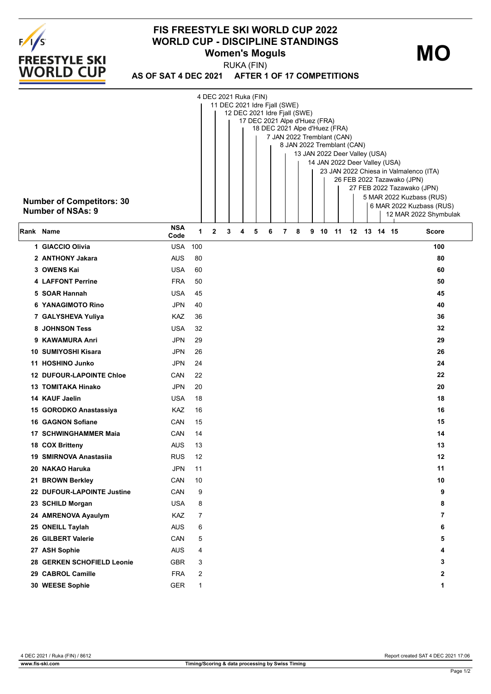

## **FIS FREESTYLE SKI WORLD CUP 2022 WORLD CUP - DISCIPLINE STANDINGS Women's Moguls**

**MO**

**AS OF SAT 4 DEC 2021 AFTER 1 OF 17 COMPETITIONS** RUKA (FIN)

| <b>Number of Competitors: 30</b><br><b>Number of NSAs: 9</b> |                    |                |   |   | 4 DEC 2021 Ruka (FIN)<br>11 DEC 2021 Idre Fjall (SWE)<br>12 DEC 2021 Idre Fjall (SWE)<br>17 DEC 2021 Alpe d'Huez (FRA)<br>18 DEC 2021 Alpe d'Huez (FRA)<br>7 JAN 2022 Tremblant (CAN)<br>8 JAN 2022 Tremblant (CAN)<br>13 JAN 2022 Deer Valley (USA)<br>14 JAN 2022 Deer Valley (USA)<br>23 JAN 2022 Chiesa in Valmalenco (ITA)<br>26 FEB 2022 Tazawako (JPN)<br>27 FEB 2022 Tazawako (JPN)<br>5 MAR 2022 Kuzbass (RUS)<br>6 MAR 2022 Kuzbass (RUS)<br>12 MAR 2022 Shymbulak |   |   |   |  |   |   |    |    |    |  |          |              |
|--------------------------------------------------------------|--------------------|----------------|---|---|------------------------------------------------------------------------------------------------------------------------------------------------------------------------------------------------------------------------------------------------------------------------------------------------------------------------------------------------------------------------------------------------------------------------------------------------------------------------------|---|---|---|--|---|---|----|----|----|--|----------|--------------|
| Rank Name                                                    | <b>NSA</b><br>Code | 1              | 2 | 3 | 4                                                                                                                                                                                                                                                                                                                                                                                                                                                                            | 5 | 6 | 7 |  | 8 | 9 | 10 | 11 | 12 |  | 13 14 15 | <b>Score</b> |
| 1 GIACCIO Olivia                                             | <b>USA</b>         | 100            |   |   |                                                                                                                                                                                                                                                                                                                                                                                                                                                                              |   |   |   |  |   |   |    |    |    |  |          | 100          |
| 2 ANTHONY Jakara                                             | <b>AUS</b>         | 80             |   |   |                                                                                                                                                                                                                                                                                                                                                                                                                                                                              |   |   |   |  |   |   |    |    |    |  |          | 80           |
| 3 OWENS Kai                                                  | <b>USA</b>         | 60             |   |   |                                                                                                                                                                                                                                                                                                                                                                                                                                                                              |   |   |   |  |   |   |    |    |    |  |          | 60           |
| <b>4 LAFFONT Perrine</b>                                     | <b>FRA</b>         | 50             |   |   |                                                                                                                                                                                                                                                                                                                                                                                                                                                                              |   |   |   |  |   |   |    |    |    |  |          | 50           |
| 5 SOAR Hannah                                                | <b>USA</b>         | 45             |   |   |                                                                                                                                                                                                                                                                                                                                                                                                                                                                              |   |   |   |  |   |   |    |    |    |  |          | 45           |
| <b>6 YANAGIMOTO Rino</b>                                     | JPN                | 40             |   |   |                                                                                                                                                                                                                                                                                                                                                                                                                                                                              |   |   |   |  |   |   |    |    |    |  |          | 40           |
| 7 GALYSHEVA Yuliya                                           | KAZ                | 36             |   |   |                                                                                                                                                                                                                                                                                                                                                                                                                                                                              |   |   |   |  |   |   |    |    |    |  |          | 36           |
| 8 JOHNSON Tess                                               | <b>USA</b>         | 32             |   |   |                                                                                                                                                                                                                                                                                                                                                                                                                                                                              |   |   |   |  |   |   |    |    |    |  |          | 32           |
| 9 KAWAMURA Anri                                              | JPN                | 29             |   |   |                                                                                                                                                                                                                                                                                                                                                                                                                                                                              |   |   |   |  |   |   |    |    |    |  |          | 29           |
| 10 SUMIYOSHI Kisara                                          | JPN                | 26             |   |   |                                                                                                                                                                                                                                                                                                                                                                                                                                                                              |   |   |   |  |   |   |    |    |    |  |          | 26           |
| 11 HOSHINO Junko                                             | <b>JPN</b>         | 24             |   |   |                                                                                                                                                                                                                                                                                                                                                                                                                                                                              |   |   |   |  |   |   |    |    |    |  |          | 24           |
| <b>12 DUFOUR-LAPOINTE Chloe</b>                              | CAN                | 22             |   |   |                                                                                                                                                                                                                                                                                                                                                                                                                                                                              |   |   |   |  |   |   |    |    |    |  |          | 22           |
| <b>13 TOMITAKA Hinako</b>                                    | JPN                | 20             |   |   |                                                                                                                                                                                                                                                                                                                                                                                                                                                                              |   |   |   |  |   |   |    |    |    |  |          | 20           |
| 14 KAUF Jaelin                                               | <b>USA</b>         | 18             |   |   |                                                                                                                                                                                                                                                                                                                                                                                                                                                                              |   |   |   |  |   |   |    |    |    |  |          | 18           |
| 15 GORODKO Anastassiya                                       | KAZ                | 16             |   |   |                                                                                                                                                                                                                                                                                                                                                                                                                                                                              |   |   |   |  |   |   |    |    |    |  |          | 16           |
| <b>16 GAGNON Sofiane</b>                                     | CAN                | 15             |   |   |                                                                                                                                                                                                                                                                                                                                                                                                                                                                              |   |   |   |  |   |   |    |    |    |  |          | 15           |
| 17 SCHWINGHAMMER Maia                                        | CAN                | 14             |   |   |                                                                                                                                                                                                                                                                                                                                                                                                                                                                              |   |   |   |  |   |   |    |    |    |  |          | 14           |
| 18 COX Britteny                                              | <b>AUS</b>         | 13             |   |   |                                                                                                                                                                                                                                                                                                                                                                                                                                                                              |   |   |   |  |   |   |    |    |    |  |          | 13           |
| 19 SMIRNOVA Anastasiia                                       | <b>RUS</b>         | 12             |   |   |                                                                                                                                                                                                                                                                                                                                                                                                                                                                              |   |   |   |  |   |   |    |    |    |  |          | 12           |
| 20 NAKAO Haruka                                              | JPN                | 11             |   |   |                                                                                                                                                                                                                                                                                                                                                                                                                                                                              |   |   |   |  |   |   |    |    |    |  |          | 11           |
| 21 BROWN Berkley                                             | CAN                | 10             |   |   |                                                                                                                                                                                                                                                                                                                                                                                                                                                                              |   |   |   |  |   |   |    |    |    |  |          | 10           |
| 22 DUFOUR-LAPOINTE Justine                                   | CAN                | 9              |   |   |                                                                                                                                                                                                                                                                                                                                                                                                                                                                              |   |   |   |  |   |   |    |    |    |  |          | 9            |
| 23 SCHILD Morgan                                             | <b>USA</b>         | 8              |   |   |                                                                                                                                                                                                                                                                                                                                                                                                                                                                              |   |   |   |  |   |   |    |    |    |  |          | 8            |
| 24 AMRENOVA Ayaulym                                          | KAZ                | 7              |   |   |                                                                                                                                                                                                                                                                                                                                                                                                                                                                              |   |   |   |  |   |   |    |    |    |  |          | 7            |
| 25 ONEILL Taylah                                             | <b>AUS</b>         | 6              |   |   |                                                                                                                                                                                                                                                                                                                                                                                                                                                                              |   |   |   |  |   |   |    |    |    |  |          | 6            |
| 26 GILBERT Valerie                                           | CAN                | 5              |   |   |                                                                                                                                                                                                                                                                                                                                                                                                                                                                              |   |   |   |  |   |   |    |    |    |  |          | 5            |
| 27 ASH Sophie                                                | <b>AUS</b>         | 4              |   |   |                                                                                                                                                                                                                                                                                                                                                                                                                                                                              |   |   |   |  |   |   |    |    |    |  |          | 4            |
| 28 GERKEN SCHOFIELD Leonie                                   | <b>GBR</b>         | 3              |   |   |                                                                                                                                                                                                                                                                                                                                                                                                                                                                              |   |   |   |  |   |   |    |    |    |  |          | 3            |
| 29 CABROL Camille                                            | <b>FRA</b>         | $\overline{2}$ |   |   |                                                                                                                                                                                                                                                                                                                                                                                                                                                                              |   |   |   |  |   |   |    |    |    |  |          | $\mathbf{2}$ |
| 30 WEESE Sophie                                              | <b>GER</b>         | $\mathbf{1}$   |   |   |                                                                                                                                                                                                                                                                                                                                                                                                                                                                              |   |   |   |  |   |   |    |    |    |  |          | 1            |